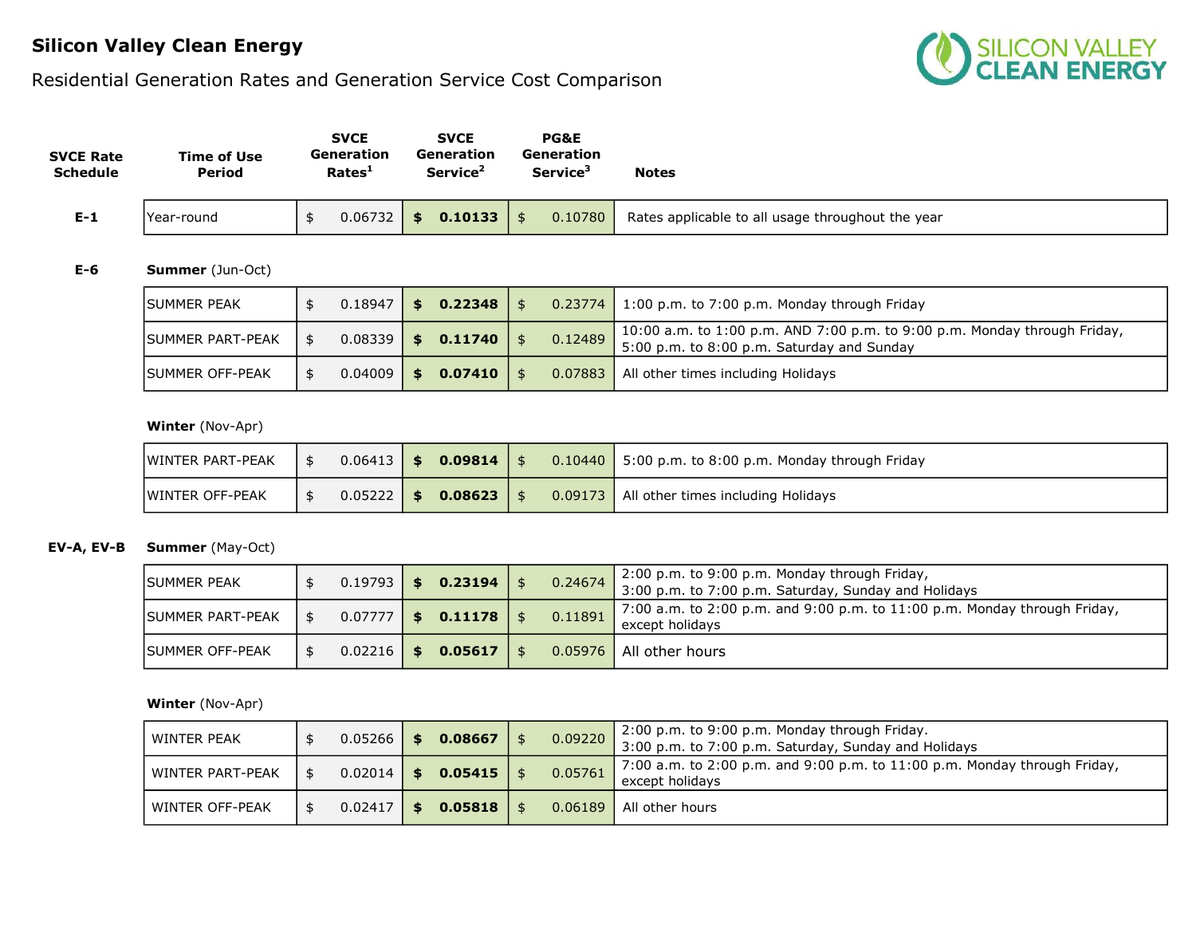## Silicon Valley Clean Energy

# Residential Generation Rates and Generation Service Cost Comparison



| <b>SVCE Rate</b><br><b>Schedule</b> | <b>Time of Use</b><br>Period | <b>SVCE</b><br><b>Generation</b><br>Rates <sup>1</sup> | <b>SVCE</b><br><b>Generation</b><br>Service <sup>2</sup> | PG&E<br>Generation<br>Service <sup>3</sup> | <b>Notes</b>                                      |
|-------------------------------------|------------------------------|--------------------------------------------------------|----------------------------------------------------------|--------------------------------------------|---------------------------------------------------|
| $E-1$                               | lYear-round                  | $0.06732$ \$                                           | $0.10133$   \$                                           | 0.10780                                    | Rates applicable to all usage throughout the year |

### E-6 Summer (Jun-Oct)

| <b>ISUMMER PEAK</b>      | 0.18947        | l Si | 0.22348 |         | $0.23774$   1:00 p.m. to 7:00 p.m. Monday through Friday                                                                |
|--------------------------|----------------|------|---------|---------|-------------------------------------------------------------------------------------------------------------------------|
| <b>ISUMMER PART-PEAK</b> | $0.08339$   \$ |      | 0.11740 | 0.12489 | 10:00 a.m. to 1:00 p.m. AND 7:00 p.m. to 9:00 p.m. Monday through Friday,<br>5:00 p.m. to 8:00 p.m. Saturday and Sunday |
| <b>ISUMMER OFF-PEAK</b>  | 0.04009        | ∣ \$ | 0.07410 |         | <b>0.07883</b> All other times including Holidays                                                                       |

### Winter (Nov-Apr)

| <b>IWINTER PART-PEAK</b> |  | $0.06413$   \$ 0.09814   \$ |  |                                              |
|--------------------------|--|-----------------------------|--|----------------------------------------------|
| <b>IWINTER OFF-PEAK</b>  |  | $0.05222$   \$ 0.08623   \$ |  | 0.09173   All other times including Holidays |

## EV-A, EV-B Summer (May-Oct)

| <b>ISUMMER PEAK</b>     | 0.19793        | \$0.23194     | 0.24674 | 2:00 p.m. to 9:00 p.m. Monday through Friday,<br>3:00 p.m. to 7:00 p.m. Saturday, Sunday and Holidays |
|-------------------------|----------------|---------------|---------|-------------------------------------------------------------------------------------------------------|
| <b>SUMMER PART-PEAK</b> | $0.07777$   \$ | 0.11178       | 0.11891 | 7:00 a.m. to 2:00 p.m. and 9:00 p.m. to $11:00$ p.m. Monday through Friday,<br>except holidavs        |
| <b>ISUMMER OFF-PEAK</b> | 0.02216        | \$<br>0.05617 |         | 0.05976   All other hours                                                                             |

### Winter (Nov-Apr)

| WINTER PEAK      | $0.05266$ 1 | \$   | 0.08667 | 0.09220 | 2:00 p.m. to 9:00 p.m. Monday through Friday.<br>3:00 p.m. to 7:00 p.m. Saturday, Sunday and Holidays |
|------------------|-------------|------|---------|---------|-------------------------------------------------------------------------------------------------------|
| WINTER PART-PEAK | 0.02014     | - \$ | 0.05415 | 0.05761 | 7:00 a.m. to 2:00 p.m. and 9:00 p.m. to $11:00$ p.m. Monday through Friday,<br>except holidavs        |
| WINTER OFF-PEAK  | 0.02417     | S.   | 0.05818 | 0.06189 | All other hours                                                                                       |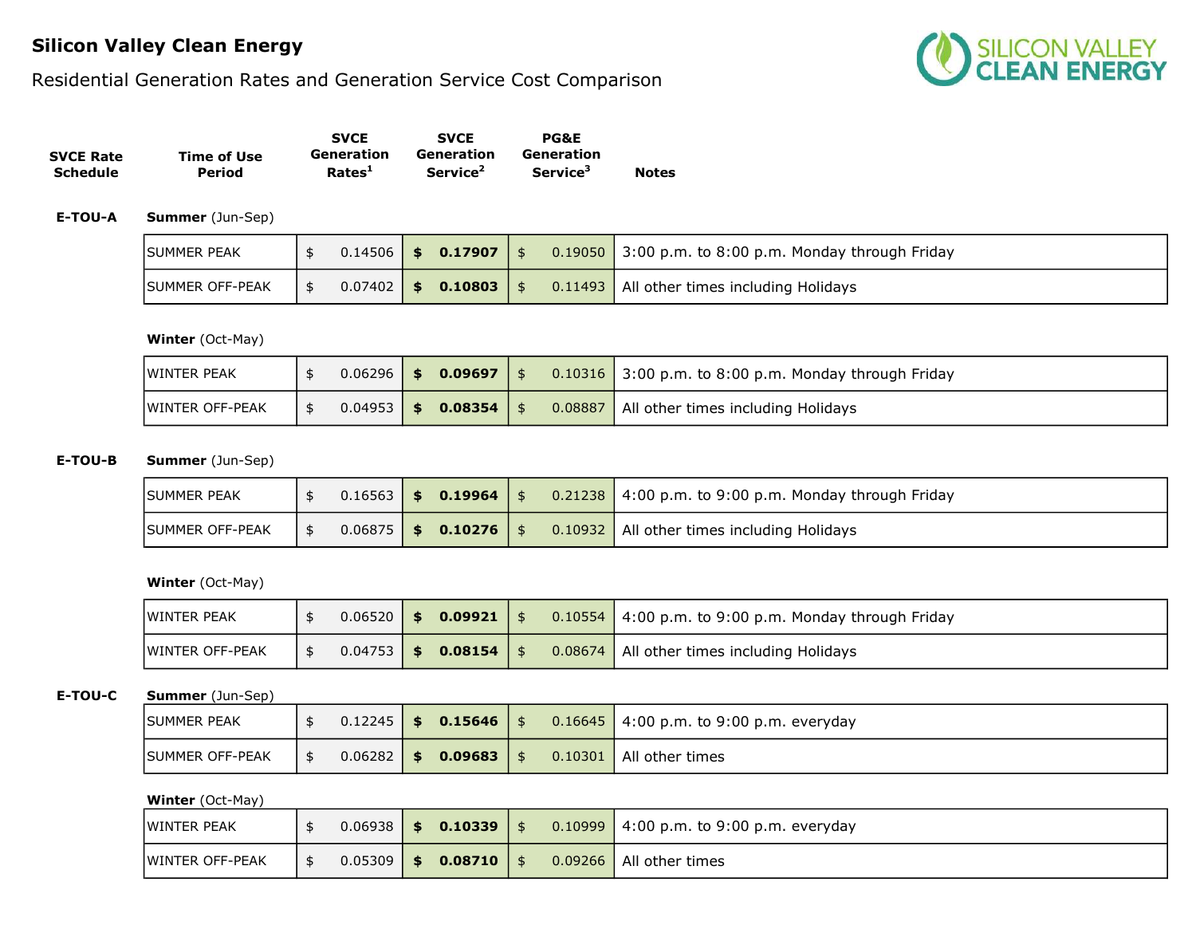## Silicon Valley Clean Energy

## Residential Generation Rates and Generation Service Cost Comparison



|                  |             | <b>SVCE</b>        | <b>SVCE</b>          | <b>PG&amp;E</b>      |              |
|------------------|-------------|--------------------|----------------------|----------------------|--------------|
| <b>SVCE Rate</b> | Time of Use | Generation         | Generation           | Generation           |              |
| Schedule         | Period      | Rates <sup>1</sup> | Service <sup>2</sup> | Service <sup>3</sup> | <b>Notes</b> |

E-TOU-A Summer (Jun-Sep)

| <b>ISUMMER PEAK</b>     |  | $0.14506$ \$ 0.17907 \$     |  | $\vert 0.19050 \vert$ 3:00 p.m. to 8:00 p.m. Monday through Friday |
|-------------------------|--|-----------------------------|--|--------------------------------------------------------------------|
| <b>ISUMMER OFF-PEAK</b> |  | $0.07402$   \$ 0.10803   \$ |  | <b>0.11493</b> All other times including Holidays                  |

#### Winter (Oct-May)

| <b>IWINTER PEAK</b> |  | $0.06296$ \$ 0.09697 \$ |  | $\vert 0.10316 \vert 3.00 \vert p.m.$ to 8:00 p.m. Monday through Friday |
|---------------------|--|-------------------------|--|--------------------------------------------------------------------------|
| WINTER OFF-PEAK     |  | $0.04953$ \$ 0.08354 \$ |  | <b>0.08887</b> All other times including Holidays                        |

## E-TOU-B Summer (Jun-Sep)

| ISUMMER PEAK            |  | $0.16563$   \$ 0.19964   \$ |  | $\sqrt{0.21238}$ 4:00 p.m. to 9:00 p.m. Monday through Friday |
|-------------------------|--|-----------------------------|--|---------------------------------------------------------------|
| <b>ISUMMER OFF-PEAK</b> |  | $0.06875$   \$ 0.10276   \$ |  | 0.10932   All other times including Holidays                  |

#### Winter (Oct-May)

| <b>IWINTER PEAK</b>     |  | $0.06520$   \$ 0.09921   \$ |  | $0.10554$   4:00 p.m. to 9:00 p.m. Monday through Friday |
|-------------------------|--|-----------------------------|--|----------------------------------------------------------|
| <b>IWINTER OFF-PEAK</b> |  | $0.04753$   \$ 0.08154   \$ |  | 0.08674   All other times including Holidays             |

#### E-TOU-C Summer (Jun-Sep)

| <b>ISUMMER PEAK</b>    |         |      | $0.12245$   \$ 0.15646   \$ |  | $0.16645$ 4:00 p.m. to 9:00 p.m. everyday |
|------------------------|---------|------|-----------------------------|--|-------------------------------------------|
| <b>SUMMER OFF-PEAK</b> | 0.06282 | - \$ | $0.09683$   \$              |  | 0.10301   All other times                 |

#### Winter (Oct-May)

| <b>WINTER PEAK</b>      |  | $0.06938$   \$ 0.10339   \$ |  | $\vert 0.10999 \vert 4:00 \vert p.m.$ to 9:00 p.m. everyday |
|-------------------------|--|-----------------------------|--|-------------------------------------------------------------|
| <b>IWINTER OFF-PEAK</b> |  | $0.05309$   \$ 0.08710   \$ |  | 0.09266   All other times                                   |